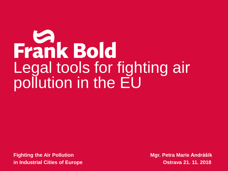# Frank Bold Legal tools for fighting air pollution in the EU

**Fighting the Air Pollution Mgr. Petra Marie Andrášik in Industrial Cities of Europe Construction Constraining Constraining Ostrava 21. 11. 2018**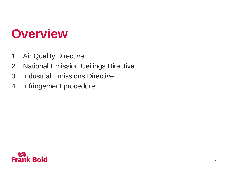- 1. Air Quality Directive
- 2. National Emission Ceilings Directive
- 3. Industrial Emissions Directive
- 4. Infringement procedure

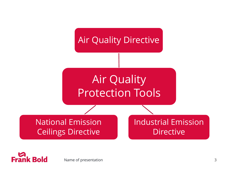

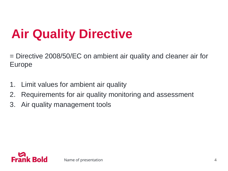# **Air Quality Directive**

= Directive 2008/50/EC on ambient air quality and cleaner air for Europe

- 1. Limit values for ambient air quality
- 2. Requirements for air quality monitoring and assessment
- 3. Air quality management tools

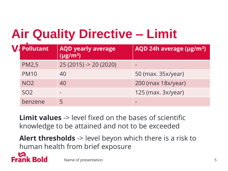# **Air Quality Directive – Limit**

| <b>Pollutant</b> | <b>AQD yearly average</b><br>$(\mu g/m^3)$ | AQD 24h average (µg/m <sup>3</sup> ) |  |  |  |
|------------------|--------------------------------------------|--------------------------------------|--|--|--|
| <b>PM2,5</b>     | $25(2015) \rightarrow 20(2020)$            |                                      |  |  |  |
| <b>PM10</b>      | 40                                         | 50 (max. 35x/year)                   |  |  |  |
| NO <sub>2</sub>  | 40                                         | 200 (max 18x/year)                   |  |  |  |
| SO <sub>2</sub>  | $\equiv$                                   | 125 (max. 3x/year)                   |  |  |  |
| benzene          | 5                                          |                                      |  |  |  |
|                  |                                            |                                      |  |  |  |

**Limit values** -> level fixed on the bases of scientific knowledge to be attained and not to be exceeded

**Alert thresholds** -> level beyon which there is a risk to human health from brief exposure



Name of presentation 5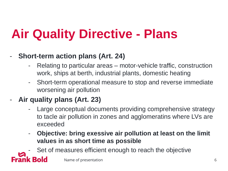# **Air Quality Directive - Plans**

- **Short-term action plans (Art. 24)**
	- Relating to particular areas motor-vehicle traffic, construction work, ships at berth, industrial plants, domestic heating
	- Short-term operational measure to stop and reverse immediate worsening air pollution
- **Air quality plans (Art. 23)**

**Frank Bold** 

- Large conceptual documents providing comprehensive strategy to tacle air pollution in zones and agglomeratins where LVs are exceeded
- **Objective: bring exessive air pollution at least on the limit values in as short time as possible**

Set of measures efficient enough to reach the objective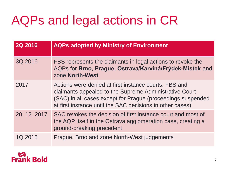# AQPs and legal actions in CR

| <b>2Q 2016</b> | <b>AQPs adopted by Ministry of Environment</b>                                                                                                                                                                                              |  |  |
|----------------|---------------------------------------------------------------------------------------------------------------------------------------------------------------------------------------------------------------------------------------------|--|--|
| 3Q 2016        | FBS represents the claimants in legal actions to revoke the<br>AQPs for Brno, Prague, Ostrava/Karviná/Frýdek-Místek and<br>zone North-West                                                                                                  |  |  |
| 2017           | Actions were denied at first instance courts, FBS and<br>claimants appealed to the Supreme Administrative Court<br>(SAC) in all cases except for Prague (proceedings suspended<br>at first instance until the SAC decisions in other cases) |  |  |
| 20. 12. 2017   | SAC revokes the decision of first instance court and most of<br>the AQP itself in the Ostrava agglomeration case, creating a<br>ground-breaking precedent                                                                                   |  |  |
| 1Q 2018        | Prague, Brno and zone North-West judgements                                                                                                                                                                                                 |  |  |

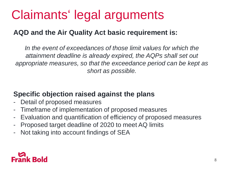# Claimants' legal arguments

#### **AQD and the Air Quality Act basic requirement is:**

*In the event of exceedances of those limit values for which the attainment deadline is already expired, the AQPs shall set out appropriate measures, so that the exceedance period can be kept as short as possible.*

#### **Specific objection raised against the plans**

- Detail of proposed measures
- Timeframe of implementation of proposed measures
- Evaluation and quantification of efficiency of proposed measures
- Proposed target deadline of 2020 to meet AQ limits
- Not taking into account findings of SEA

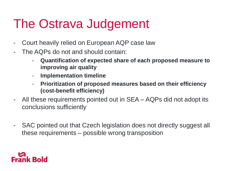### The Ostrava Judgement

- Court heavily relied on European AQP case law
- The AQPs do not and should contain:
	- **Quantification of expected share of each proposed measure to improving air quality**
	- **Implementation timeline**
	- **Prioritization of proposed measures based on their efficiency (cost-benefit efficiency)**
- All these requirements pointed out in SEA AQPs did not adopt its conclusions sufficiently
- SAC pointed out that Czech legislation does not directly suggest all these requirements – possible wrong transposition

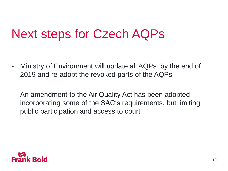### Next steps for Czech AQPs

- Ministry of Environment will update all AQPs by the end of 2019 and re-adopt the revoked parts of the AQPs
- An amendment to the Air Quality Act has been adopted, incorporating some of the SAC's requirements, but limiting public participation and access to court

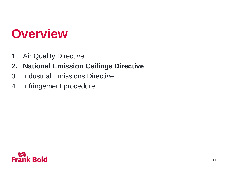- 1. Air Quality Directive
- **2. National Emission Ceilings Directive**
- 3. Industrial Emissions Directive
- 4. Infringement procedure

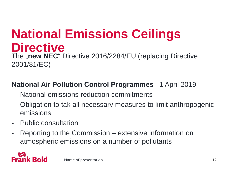# **National Emissions Ceilings Directive**

The **"new NEC**" Directive 2016/2284/EU (replacing Directive 2001/81/EC)

#### **National Air Pollution Control Programmes** –1 April 2019

- National emissions reduction commitments
- Obligation to tak all necessary measures to limit anthropogenic emissions
- Public consultation
- Reporting to the Commission extensive information on atmospheric emissions on a number of pollutants

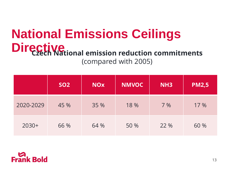#### **National Emissions Ceilings Directive Czech National emission reduction commitments** (compared with 2005)

|           | <b>SO2</b> | <b>NOX</b> | <b>NMVOC</b> | NH <sub>3</sub> | <b>PM2,5</b> |
|-----------|------------|------------|--------------|-----------------|--------------|
| 2020-2029 | 45 %       | 35 %       | 18 %         | 7%              | 17 %         |
| $2030+$   | 66 %       | 64 %       | 50 %         | 22 %            | 60 %         |

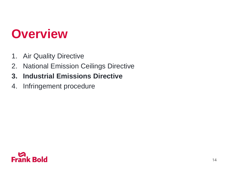- 1. Air Quality Directive
- 2. National Emission Ceilings Directive
- **3. Industrial Emissions Directive**
- 4. Infringement procedure

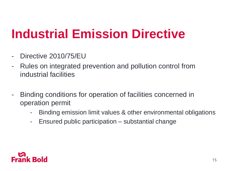### **Industrial Emission Directive**

- Directive 2010/75/EU
- Rules on integrated prevention and pollution control from industrial facilities
- Binding conditions for operation of facilities concerned in operation permit
	- Binding emission limit values & other environmental obligations
	- Ensured public participation substantial change

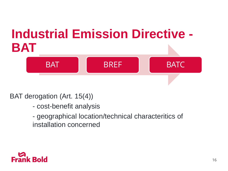# **Industrial Emission Directive - BAT**



#### BAT derogation (Art. 15(4))

- cost-benefit analysis
- geographical location/technical characteritics of installation concerned

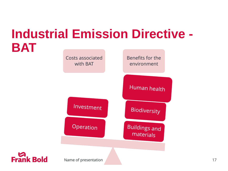### **Industrial Emission Directive - BAT**





Name of presentation and the set of the set of the set of the set of the set of the set of the set of the set of the set of the set of the set of the set of the set of the set of the set of the set of the set of the set of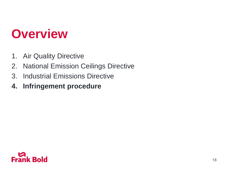- 1. Air Quality Directive
- 2. National Emission Ceilings Directive
- 3. Industrial Emissions Directive
- **4. Infringement procedure**

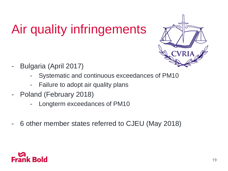# Air quality infringements



- Bulgaria (April 2017)
	- Systematic and continuous exceedances of PM10
	- Failure to adopt air quality plans
- Poland (February 2018)
	- Longterm exceedances of PM10
- 6 other member states referred to CJEU (May 2018)

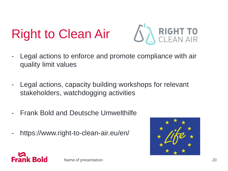# Right to Clean Air



- Legal actions to enforce and promote compliance with air quality limit values
- Legal actions, capacity building workshops for relevant stakeholders, watchdogging activities
- Frank Bold and Deutsche Umwelthilfe
- https://www.right-to-clean-air.eu/en/